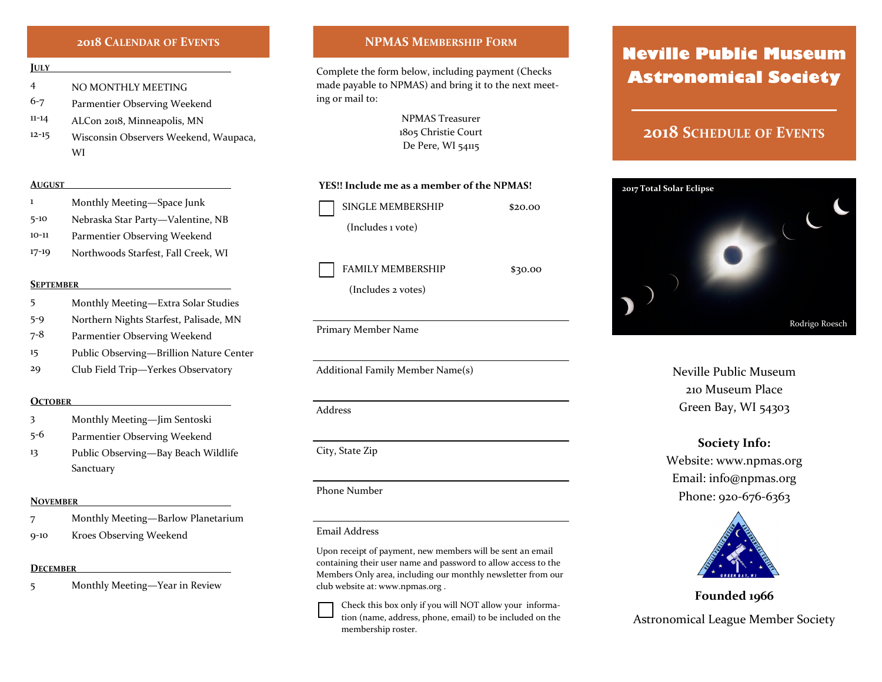## **2018 CALENDAR OF EVENTS**

#### **JULY**

4 NO MONTHLY MEETING

6-7 Parmentier Observing Weekend

- 11-14 ALCon 2018, Minneapolis, MN
- 12-15 Wisconsin Observers Weekend, Waupaca, WI

## **AUGUST**

- 1 Monthly Meeting—Space Junk
- 5-10 Nebraska Star Party—Valentine, NB
- 10-11 Parmentier Observing Weekend
- 17-19 Northwoods Starfest, Fall Creek, WI

## **SEPTEMBER**

- 5 Monthly Meeting—Extra Solar Studies
- 5-9 Northern Nights Starfest, Palisade, MN
- 7-8 Parmentier Observing Weekend
- 15 Public Observing—Brillion Nature Center
- 29 Club Field Trip—Yerkes Observatory

#### **OCTOBER**

- 3 Monthly Meeting—Jim Sentoski
- 5-6 Parmentier Observing Weekend
- 13 Public Observing—Bay Beach Wildlife Sanctuary

#### **NOVEMBER**

- 7 Monthly Meeting—Barlow Planetarium
- 9-10 Kroes Observing Weekend

## **DECEMBER**

5 Monthly Meeting—Year in Review

## **NPMAS MEMBERSHIP FORM**

Complete the form below, including payment (Checks made payable to NPMAS) and bring it to the next meeting or mail to:

> NPMAS Treasurer 1805 Christie Court De Pere, WI 54115

## **YES!! Include me as a member of the NPMAS!**

SINGLE MEMBERSHIP \$20.00 (Includes 1 vote)

FAMILY MEMBERSHIP \$30.00

(Includes 2 votes)

Primary Member Name

Additional Family Member Name(s)

Address

City, State Zip

## Phone Number

#### Email Address

Upon receipt of payment, new members will be sent an email containing their user name and password to allow access to the Members Only area, including our monthly newsletter from our club website at: www.npmas.org .

Check this box only if you will NOT allow your information (name, address, phone, email) to be included on the membership roster.

# **Neville Public Museum Astronomical Society**

# **2018 SCHEDULE OF EVENTS**



Neville Public Museum 210 Museum Place Green Bay, WI 54303

## **Society Info:**

Website: www.npmas.org Email: info@npmas.org Phone: 920-676-6363



**Founded 1966** Astronomical League Member Society